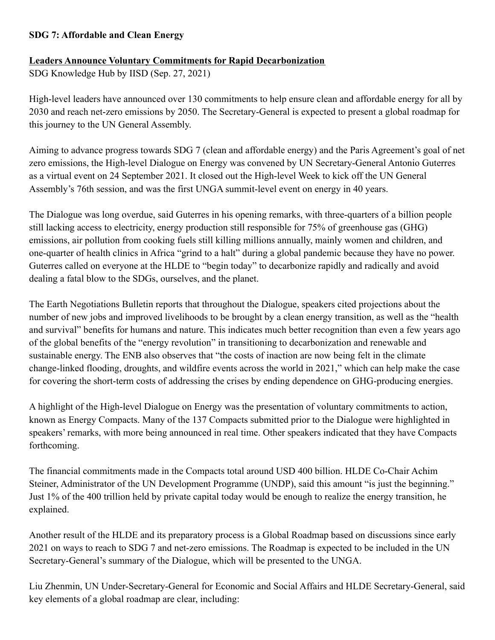## **SDG 7: Affordable and Clean Energy**

## **Leaders Announce Voluntary Commitments for Rapid Decarbonization**

SDG Knowledge Hub by IISD (Sep. 27, 2021)

High-level leaders have announced over 130 commitments to help ensure clean and affordable energy for all by 2030 and reach net-zero emissions by 2050. The Secretary-General is expected to present a global roadmap for this journey to the UN General Assembly.

Aiming to advance progress towards SDG 7 (clean and affordable energy) and the Paris Agreement's goal of net zero emissions, the High-level Dialogue on Energy was convened by UN Secretary-General Antonio Guterres as a virtual event on 24 September 2021. It closed out the High-level Week to kick off the UN General Assembly's 76th session, and was the first UNGA summit-level event on energy in 40 years.

The Dialogue was long overdue, said Guterres in his opening remarks, with three-quarters of a billion people still lacking access to electricity, energy production still responsible for 75% of greenhouse gas (GHG) emissions, air pollution from cooking fuels still killing millions annually, mainly women and children, and one-quarter of health clinics in Africa "grind to a halt" during a global pandemic because they have no power. Guterres called on everyone at the HLDE to "begin today" to decarbonize rapidly and radically and avoid dealing a fatal blow to the SDGs, ourselves, and the planet.

The Earth Negotiations Bulletin reports that throughout the Dialogue, speakers cited projections about the number of new jobs and improved livelihoods to be brought by a clean energy transition, as well as the "health and survival" benefits for humans and nature. This indicates much better recognition than even a few years ago of the global benefits of the "energy revolution" in transitioning to decarbonization and renewable and sustainable energy. The ENB also observes that "the costs of inaction are now being felt in the climate change-linked flooding, droughts, and wildfire events across the world in 2021," which can help make the case for covering the short-term costs of addressing the crises by ending dependence on GHG-producing energies.

A highlight of the High-level Dialogue on Energy was the presentation of voluntary commitments to action, known as Energy Compacts. Many of the 137 Compacts submitted prior to the Dialogue were highlighted in speakers' remarks, with more being announced in real time. Other speakers indicated that they have Compacts forthcoming.

The financial commitments made in the Compacts total around USD 400 billion. HLDE Co-Chair Achim Steiner, Administrator of the UN Development Programme (UNDP), said this amount "is just the beginning." Just 1% of the 400 trillion held by private capital today would be enough to realize the energy transition, he explained.

Another result of the HLDE and its preparatory process is a Global Roadmap based on discussions since early 2021 on ways to reach to SDG 7 and net-zero emissions. The Roadmap is expected to be included in the UN Secretary-General's summary of the Dialogue, which will be presented to the UNGA.

Liu Zhenmin, UN Under-Secretary-General for Economic and Social Affairs and HLDE Secretary-General, said key elements of a global roadmap are clear, including: